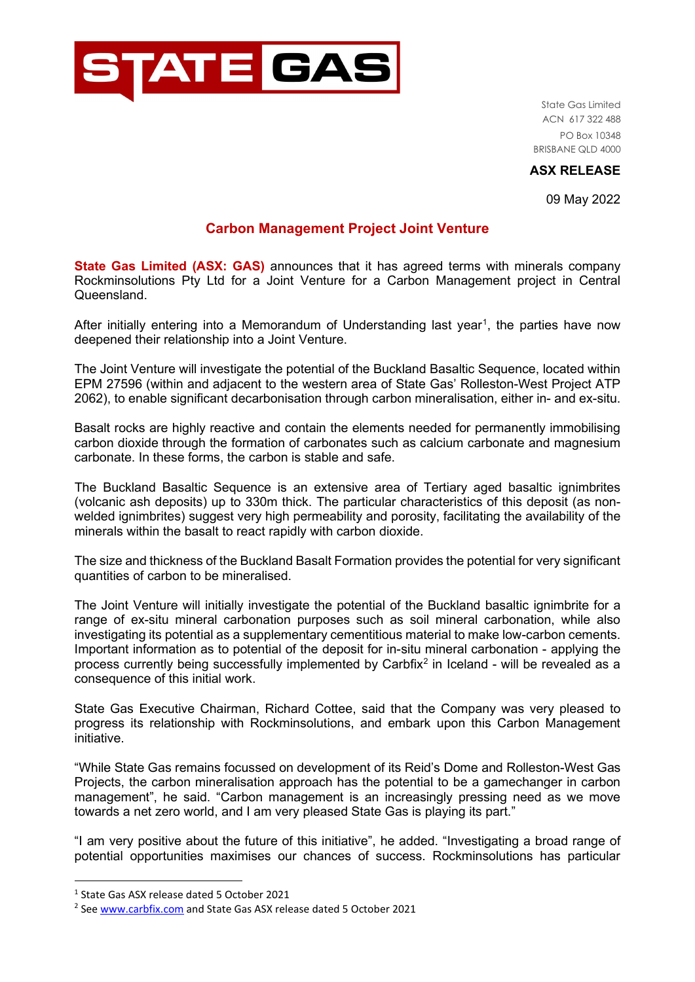

State Gas Limited ACN 617 322 488 PO Box 10348 BRISBANE QLD 4000

## **ASX RELEASE**

09 May 2022

# **Carbon Management Project Joint Venture**

**State Gas Limited (ASX: GAS)** announces that it has agreed terms with minerals company Rockminsolutions Pty Ltd for a Joint Venture for a Carbon Management project in Central Queensland.

After initially entering into a Memorandum of Understanding last year<sup>[1](#page-0-0)</sup>, the parties have now deepened their relationship into a Joint Venture.

The Joint Venture will investigate the potential of the Buckland Basaltic Sequence, located within EPM 27596 (within and adjacent to the western area of State Gas' Rolleston-West Project ATP 2062), to enable significant decarbonisation through carbon mineralisation, either in- and ex-situ.

Basalt rocks are highly reactive and contain the elements needed for permanently immobilising carbon dioxide through the formation of carbonates such as calcium carbonate and magnesium carbonate. In these forms, the carbon is stable and safe.

The Buckland Basaltic Sequence is an extensive area of Tertiary aged basaltic ignimbrites (volcanic ash deposits) up to 330m thick. The particular characteristics of this deposit (as nonwelded ignimbrites) suggest very high permeability and porosity, facilitating the availability of the minerals within the basalt to react rapidly with carbon dioxide.

The size and thickness of the Buckland Basalt Formation provides the potential for very significant quantities of carbon to be mineralised.

The Joint Venture will initially investigate the potential of the Buckland basaltic ignimbrite for a range of ex-situ mineral carbonation purposes such as soil mineral carbonation, while also investigating its potential as a supplementary cementitious material to make low-carbon cements. Important information as to potential of the deposit for in-situ mineral carbonation - applying the process currently being successfully implemented by Carbfix<sup>[2](#page-0-1)</sup> in Iceland - will be revealed as a consequence of this initial work.

State Gas Executive Chairman, Richard Cottee, said that the Company was very pleased to progress its relationship with Rockminsolutions, and embark upon this Carbon Management initiative.

"While State Gas remains focussed on development of its Reid's Dome and Rolleston-West Gas Projects, the carbon mineralisation approach has the potential to be a gamechanger in carbon management", he said. "Carbon management is an increasingly pressing need as we move towards a net zero world, and I am very pleased State Gas is playing its part."

"I am very positive about the future of this initiative", he added. "Investigating a broad range of potential opportunities maximises our chances of success. Rockminsolutions has particular

<span id="page-0-0"></span><sup>1</sup> State Gas ASX release dated 5 October 2021

<span id="page-0-1"></span><sup>&</sup>lt;sup>2</sup> See [www.carbfix.com](http://www.carbfix.com/) and State Gas ASX release dated 5 October 2021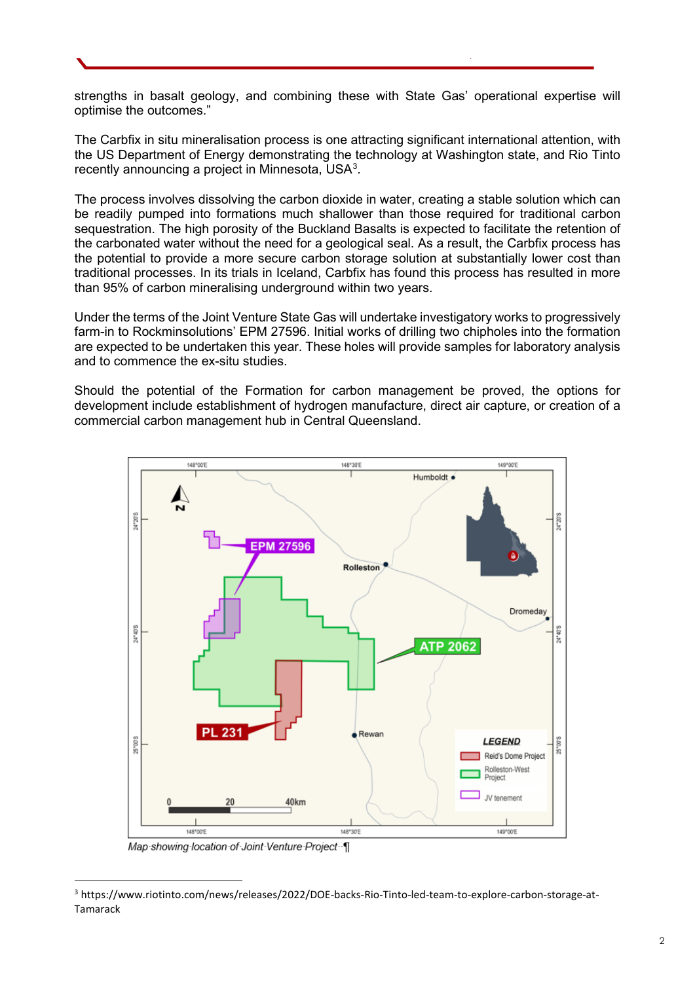strengths in basalt geology, and combining these with State Gas' operational expertise will optimise the outcomes."

The Carbfix in situ mineralisation process is one attracting significant international attention, with the US Department of Energy demonstrating the technology at Washington state, and Rio Tinto recently announcing a project in Minnesota, USA $^{\rm 3}$  $^{\rm 3}$  $^{\rm 3}$ .

The process involves dissolving the carbon dioxide in water, creating a stable solution which can be readily pumped into formations much shallower than those required for traditional carbon sequestration. The high porosity of the Buckland Basalts is expected to facilitate the retention of the carbonated water without the need for a geological seal. As a result, the Carbfix process has the potential to provide a more secure carbon storage solution at substantially lower cost than traditional processes. In its trials in Iceland, Carbfix has found this process has resulted in more than 95% of carbon mineralising underground within two years.

Under the terms of the Joint Venture State Gas will undertake investigatory works to progressively farm-in to Rockminsolutions' EPM 27596. Initial works of drilling two chipholes into the formation are expected to be undertaken this year. These holes will provide samples for laboratory analysis and to commence the ex-situ studies.

Should the potential of the Formation for carbon management be proved, the options for development include establishment of hydrogen manufacture, direct air capture, or creation of a commercial carbon management hub in Central Queensland.



Map showing location of Joint Venture Project [

<span id="page-1-0"></span><sup>3</sup> https://www.riotinto.com/news/releases/2022/DOE-backs-Rio-Tinto-led-team-to-explore-carbon-storage-at-Tamarack